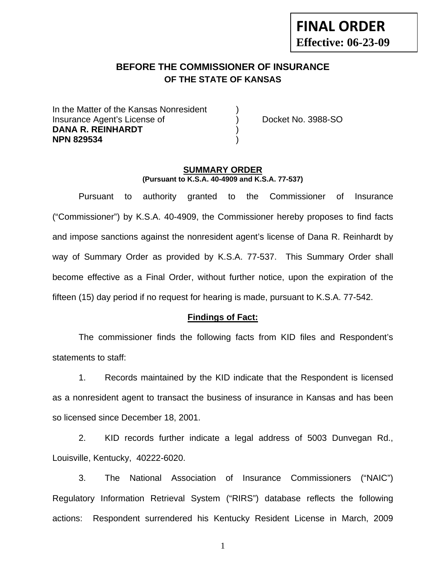# **FINAL ORDER Effective: 06-23-09**

## **BEFORE THE COMMISSIONER OF INSURANCE OF THE STATE OF KANSAS**

In the Matter of the Kansas Nonresident Insurance Agent's License of ) Docket No. 3988-SO **DANA R. REINHARDT** ) **NPN 829534** )

#### **SUMMARY ORDER (Pursuant to K.S.A. 40-4909 and K.S.A. 77-537)**

 Pursuant to authority granted to the Commissioner of Insurance ("Commissioner") by K.S.A. 40-4909, the Commissioner hereby proposes to find facts and impose sanctions against the nonresident agent's license of Dana R. Reinhardt by way of Summary Order as provided by K.S.A. 77-537. This Summary Order shall become effective as a Final Order, without further notice, upon the expiration of the fifteen (15) day period if no request for hearing is made, pursuant to K.S.A. 77-542.

#### **Findings of Fact:**

 The commissioner finds the following facts from KID files and Respondent's statements to staff:

 1. Records maintained by the KID indicate that the Respondent is licensed as a nonresident agent to transact the business of insurance in Kansas and has been so licensed since December 18, 2001.

 2. KID records further indicate a legal address of 5003 Dunvegan Rd., Louisville, Kentucky, 40222-6020.

 3. The National Association of Insurance Commissioners ("NAIC") Regulatory Information Retrieval System ("RIRS") database reflects the following actions: Respondent surrendered his Kentucky Resident License in March, 2009

1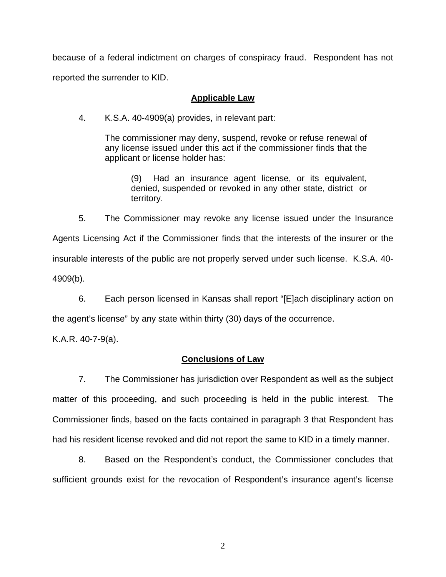because of a federal indictment on charges of conspiracy fraud. Respondent has not reported the surrender to KID.

#### **Applicable Law**

4. K.S.A. 40-4909(a) provides, in relevant part:

The commissioner may deny, suspend, revoke or refuse renewal of any license issued under this act if the commissioner finds that the applicant or license holder has:

> (9) Had an insurance agent license, or its equivalent, denied, suspended or revoked in any other state, district or territory.

 5. The Commissioner may revoke any license issued under the Insurance Agents Licensing Act if the Commissioner finds that the interests of the insurer or the insurable interests of the public are not properly served under such license. K.S.A. 40- 4909(b).

 6. Each person licensed in Kansas shall report "[E]ach disciplinary action on the agent's license" by any state within thirty (30) days of the occurrence.

K.A.R. 40-7-9(a).

#### **Conclusions of Law**

 7. The Commissioner has jurisdiction over Respondent as well as the subject matter of this proceeding, and such proceeding is held in the public interest. The Commissioner finds, based on the facts contained in paragraph 3 that Respondent has had his resident license revoked and did not report the same to KID in a timely manner.

 8. Based on the Respondent's conduct, the Commissioner concludes that sufficient grounds exist for the revocation of Respondent's insurance agent's license

2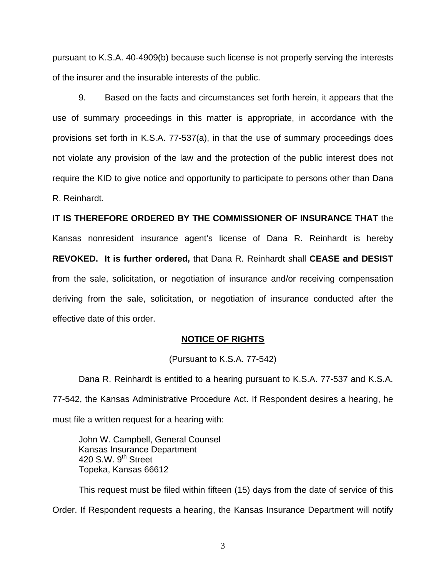pursuant to K.S.A. 40-4909(b) because such license is not properly serving the interests of the insurer and the insurable interests of the public.

 9. Based on the facts and circumstances set forth herein, it appears that the use of summary proceedings in this matter is appropriate, in accordance with the provisions set forth in K.S.A. 77-537(a), in that the use of summary proceedings does not violate any provision of the law and the protection of the public interest does not require the KID to give notice and opportunity to participate to persons other than Dana R. Reinhardt.

**IT IS THEREFORE ORDERED BY THE COMMISSIONER OF INSURANCE THAT** the Kansas nonresident insurance agent's license of Dana R. Reinhardt is hereby **REVOKED. It is further ordered,** that Dana R. Reinhardt shall **CEASE and DESIST** from the sale, solicitation, or negotiation of insurance and/or receiving compensation deriving from the sale, solicitation, or negotiation of insurance conducted after the effective date of this order.

#### **NOTICE OF RIGHTS**

(Pursuant to K.S.A. 77-542)

Dana R. Reinhardt is entitled to a hearing pursuant to K.S.A. 77-537 and K.S.A. 77-542, the Kansas Administrative Procedure Act. If Respondent desires a hearing, he must file a written request for a hearing with:

 John W. Campbell, General Counsel Kansas Insurance Department 420 S.W. 9<sup>th</sup> Street Topeka, Kansas 66612

This request must be filed within fifteen (15) days from the date of service of this Order. If Respondent requests a hearing, the Kansas Insurance Department will notify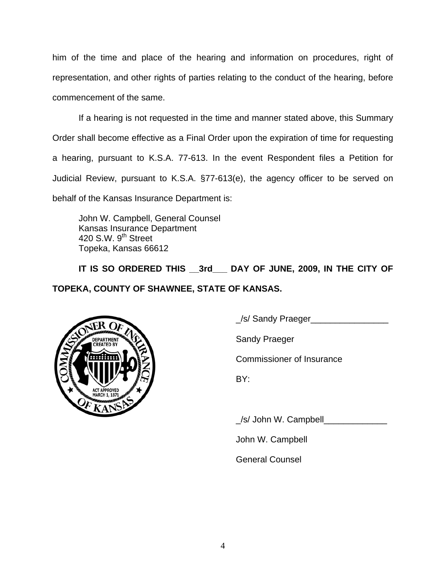him of the time and place of the hearing and information on procedures, right of representation, and other rights of parties relating to the conduct of the hearing, before commencement of the same.

If a hearing is not requested in the time and manner stated above, this Summary Order shall become effective as a Final Order upon the expiration of time for requesting a hearing, pursuant to K.S.A. 77-613. In the event Respondent files a Petition for Judicial Review, pursuant to K.S.A. §77-613(e), the agency officer to be served on behalf of the Kansas Insurance Department is:

 John W. Campbell, General Counsel Kansas Insurance Department 420 S.W. 9<sup>th</sup> Street Topeka, Kansas 66612

IT IS SO ORDERED THIS 3rd DAY OF JUNE, 2009, IN THE CITY OF **TOPEKA, COUNTY OF SHAWNEE, STATE OF KANSAS.** 



\_/s/ Sandy Praeger\_\_\_\_\_\_\_\_\_\_\_\_\_\_\_\_

Commissioner of Insurance

\_/s/ John W. Campbell\_\_\_\_\_\_\_\_\_\_\_\_\_

John W. Campbell

General Counsel